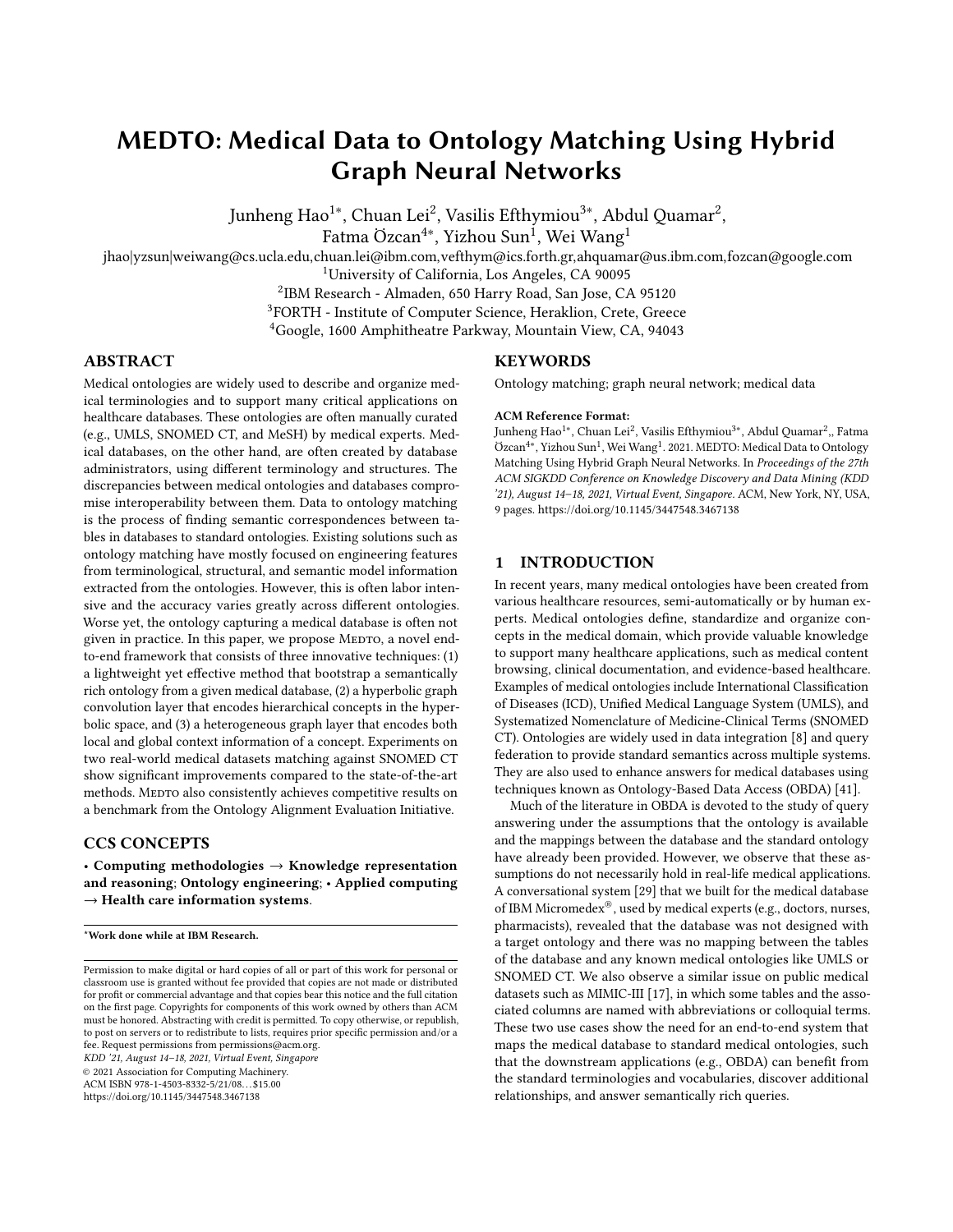# MEDTO: Medical Data to Ontology Matching Using Hybrid Graph Neural Networks

Junheng Hao<sup>1∗</sup>, Chuan Lei<sup>2</sup>, Vasilis Efthymiou<sup>3∗</sup>, Abdul Quamar<sup>2</sup>,

Fatma Özcan<sup>4∗</sup>, Yizhou Sun<sup>i</sup>, Wei Wang<sup>1</sup>

jhao|yzsun|weiwang@cs.ucla.edu,chuan.lei@ibm.com,vefthym@ics.forth.gr,ahquamar@us.ibm.com,fozcan@google.com

<sup>1</sup>University of California, Los Angeles, CA 90095

2 IBM Research - Almaden, 650 Harry Road, San Jose, CA 95120

<sup>3</sup>FORTH - Institute of Computer Science, Heraklion, Crete, Greece

<sup>4</sup>Google, 1600 Amphitheatre Parkway, Mountain View, CA, 94043

# ABSTRACT

Medical ontologies are widely used to describe and organize medical terminologies and to support many critical applications on healthcare databases. These ontologies are often manually curated (e.g., UMLS, SNOMED CT, and MeSH) by medical experts. Medical databases, on the other hand, are often created by database administrators, using different terminology and structures. The discrepancies between medical ontologies and databases compromise interoperability between them. Data to ontology matching is the process of finding semantic correspondences between tables in databases to standard ontologies. Existing solutions such as ontology matching have mostly focused on engineering features from terminological, structural, and semantic model information extracted from the ontologies. However, this is often labor intensive and the accuracy varies greatly across different ontologies. Worse yet, the ontology capturing a medical database is often not given in practice. In this paper, we propose MEDTO, a novel endto-end framework that consists of three innovative techniques: (1) a lightweight yet effective method that bootstrap a semantically rich ontology from a given medical database, (2) a hyperbolic graph convolution layer that encodes hierarchical concepts in the hyperbolic space, and (3) a heterogeneous graph layer that encodes both local and global context information of a concept. Experiments on two real-world medical datasets matching against SNOMED CT show significant improvements compared to the state-of-the-art methods. MEDTO also consistently achieves competitive results on a benchmark from the Ontology Alignment Evaluation Initiative.

# CCS CONCEPTS

• Computing methodologies  $\rightarrow$  Knowledge representation and reasoning; Ontology engineering; • Applied computing  $\rightarrow$  Health care information systems.

\*Work done while at IBM Research.

KDD '21, August 14–18, 2021, Virtual Event, Singapore

© 2021 Association for Computing Machinery.

ACM ISBN 978-1-4503-8332-5/21/08. . . \$15.00

<https://doi.org/10.1145/3447548.3467138>

# **KEYWORDS**

Ontology matching; graph neural network; medical data

#### ACM Reference Format:

Junheng Hao<sup>1∗</sup>, Chuan Lei<sup>2</sup>, Vasilis Efthymiou<sup>3∗</sup>, Abdul Quamar<sup>2</sup>,, Fatma Ozcan<sup>4</sup>\*, Yizhou Sun<sup>1</sup>, Wei Wang<sup>1</sup>. 2021. MEDTO: Medical Data to Ontology Matching Using Hybrid Graph Neural Networks. In Proceedings of the 27th ACM SIGKDD Conference on Knowledge Discovery and Data Mining (KDD '21), August 14–18, 2021, Virtual Event, Singapore. ACM, New York, NY, USA, [9](#page-8-0) pages.<https://doi.org/10.1145/3447548.3467138>

# <span id="page-0-0"></span>1 INTRODUCTION

In recent years, many medical ontologies have been created from various healthcare resources, semi-automatically or by human experts. Medical ontologies define, standardize and organize concepts in the medical domain, which provide valuable knowledge to support many healthcare applications, such as medical content browsing, clinical documentation, and evidence-based healthcare. Examples of medical ontologies include International Classification of Diseases (ICD), Unified Medical Language System (UMLS), and Systematized Nomenclature of Medicine-Clinical Terms (SNOMED CT). Ontologies are widely used in data integration [\[8\]](#page-8-1) and query federation to provide standard semantics across multiple systems. They are also used to enhance answers for medical databases using techniques known as Ontology-Based Data Access (OBDA) [\[41\]](#page-8-2).

Much of the literature in OBDA is devoted to the study of query answering under the assumptions that the ontology is available and the mappings between the database and the standard ontology have already been provided. However, we observe that these assumptions do not necessarily hold in real-life medical applications. A conversational system [\[29\]](#page-8-3) that we built for the medical database of IBM Micromedex®, used by medical experts (e.g., doctors, nurses, pharmacists), revealed that the database was not designed with a target ontology and there was no mapping between the tables of the database and any known medical ontologies like UMLS or SNOMED CT. We also observe a similar issue on public medical datasets such as MIMIC-III [\[17\]](#page-8-4), in which some tables and the associated columns are named with abbreviations or colloquial terms. These two use cases show the need for an end-to-end system that maps the medical database to standard medical ontologies, such that the downstream applications (e.g., OBDA) can benefit from the standard terminologies and vocabularies, discover additional relationships, and answer semantically rich queries.

Permission to make digital or hard copies of all or part of this work for personal or classroom use is granted without fee provided that copies are not made or distributed for profit or commercial advantage and that copies bear this notice and the full citation on the first page. Copyrights for components of this work owned by others than ACM must be honored. Abstracting with credit is permitted. To copy otherwise, or republish, to post on servers or to redistribute to lists, requires prior specific permission and/or a fee. Request permissions from permissions@acm.org.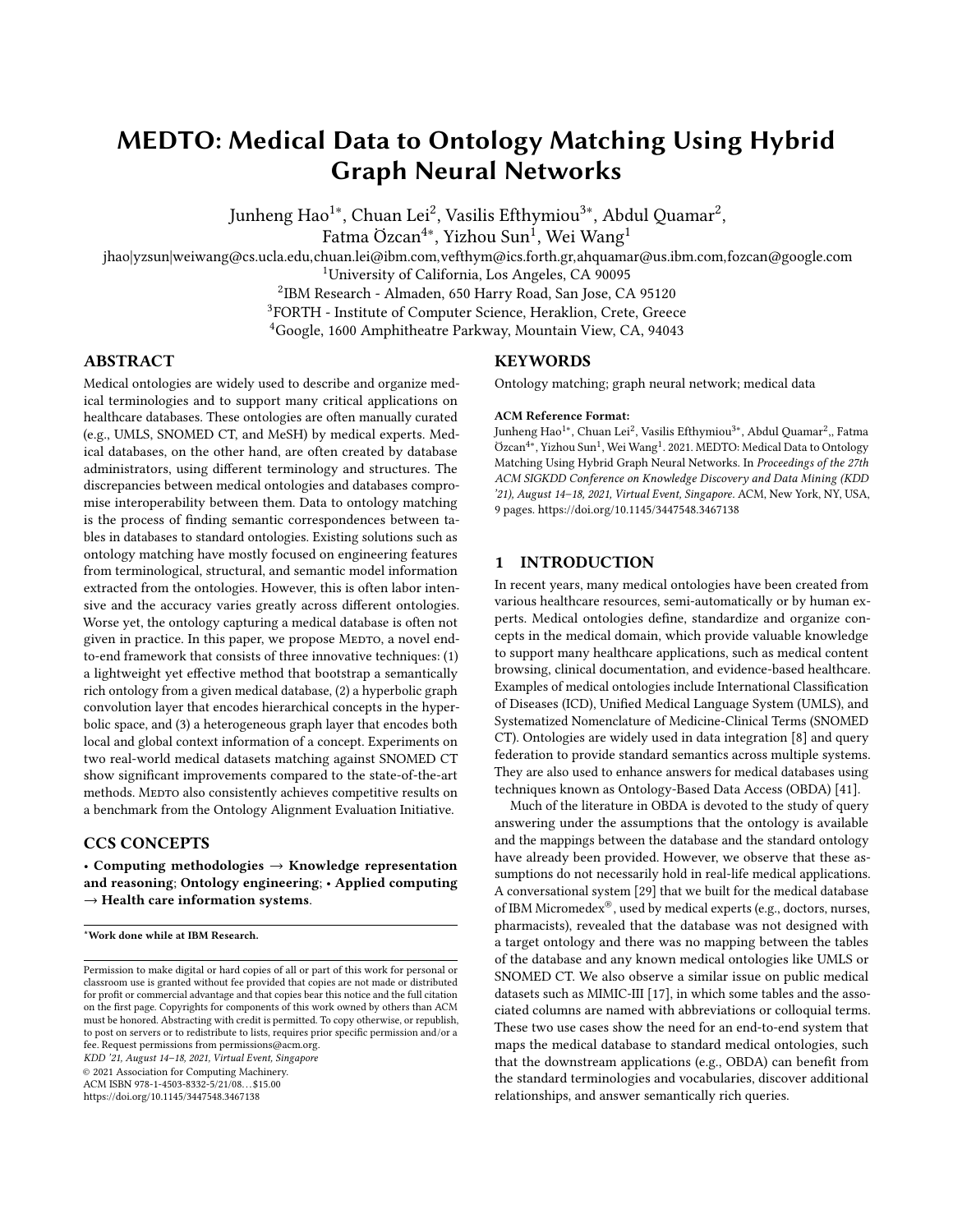There have been many efforts devoted to ontology matching [\[11,](#page-8-5) [16,](#page-8-6) [20\]](#page-8-7), with the goal of finding a mapping between two given ontologies. Ontology matching is only part of the problem we are trying to address in this paper, namely data to ontology matching. When there is no ontology associated with a given database, we need to create an ontology describing the data as a first step, before we can apply ontology matching.

Most of the ontology matching work, such as LogMap [\[16\]](#page-8-6) and AML [\[11\]](#page-8-5), rely on logical reasoning and rule-based methods to extract various sophisticated features from the ontologies. These terminological and structural features are then used to compute ontological concept similarities that drive the ontology matching. However, these features in one ontology often do not transfer in others. Consequently, the accuracy and robustness of ontology matching based on different features vary greatly with different medical ontologies to be matched [\[20\]](#page-8-7). Worse yet, these solutions assume that the given ontologies are carefully crafted, which often fall short of the requirements for data to ontology matching.

Recently, graph representation learning [\[14,](#page-8-8) [19\]](#page-8-9) has emerged as an effective approach to learn vector representations for graphstructured data. The representation of a node is learned by recursively aggregating the representations of its neighboring nodes. Several studies [\[34,](#page-8-10) [39,](#page-8-11) [40\]](#page-8-12) have exploited graph neural networks (GNNs) for embedding-based entity alignment as similar entities usually have similar neighborhoods in knowledge graphs (KGs). Although existing GNN-based methods have achieved promising results on entity alignment in KGs, they are still facing three critical challenges when applied to data to ontology matching.

<span id="page-1-0"></span>

Figure 1: Example of data to ontology matching.

First, data to ontology matching often suffers from a cold-start problem, where a semantically rich ontology capturing a given medical database does not exist. One can generate an ontology from the relational database [\[24\]](#page-8-13) only using its metadata. However, we argue that if we enrich the ontology by using instance-level information from the database, and incorporate a richer set of semantic relationships, the derived ontology can be matched to the standard ontology with higher precision. To overcome this cold-start problem, a bootstrapping process is necessary.

Second, one distinct characteristic of medical ontologies, compared to the open-domain knowledge graphs like DBpedia [\[23\]](#page-8-14) and

YAGO [\[32\]](#page-8-15), is their deep domain specialization. These ontologies often have rich hierarchical top-down structures, which systematically organize medical concepts into categories and subcategories of different levels from general to specific. Figure [1](#page-1-0) shows two snippets of medical ontologies. The hierarchical (through "isA" relations) neighborhood of "kidney failure" is very different from other types of relations. Capturing such hierarchical structures separately would help identify matching concepts and improve the accuracy of ontology matching.

Third, standard medical ontologies often are non-isomorphic in the local neighborhood structures of a concept from the one of a derived ontology. The rich and complex vocabularies, abundant sources of domain knowledge, and different modeling views all contribute to such non-isomorphism greatly. Fortunately, many medical ontologies have top-level concepts provided by domain experts and such concepts provide a global context for matching concepts. In Figure [1,](#page-1-0) the concept "clinical finding" is the top-level category of "renal failure". This helps us differentiate "renal failure" from other concepts such as "renal dialysis", which belongs to the "procedure" category. Motivated by the fact that the semantically related latent information can appear in these top-level concepts, the aggregated neighborhood of a concept should include not only its local neighbors, but also the concepts with its global information.

To cope with these challenges, we propose a medical data to ontology matching (MEDTO) framework based on graph representation learning. The underlying idea is to first create and enrich a source ontology from the given medical database, and then embed both enriched and standard medical ontologies into two representations (i.e., hierarchical and non-hierarchical views) that are complementary to each other. Both representations are jointly optimized to improve the ontology matching capabilities. Our contributions are listed as follows:

• We propose an end-to-end framework MEDTO for data to ontology matching. MEDTO first bootstraps an ontology based on a given medical database, and then learns and unifies hierarchical and non-hierarchical representations of two ontologies for matching.

• We design a lightweight yet effective method to create and enrich an ontology from the metadata of a medical database with rich semantic information from its instance data.

• We employ hyperbolic graph convolution layers to encode the parent and child concepts of each concept in the hyperbolic space, capturing the hierarchical characteristics in an ontology.

• To enrich the features of each concept, we introduce heterogeneous graph layers to incorporate both the local structure and the global context into concept embeddings.

• Our experiments on matching two real-world medical datasets to SNOMED CT show that MEDTO significantly outperforms the state-of-the-art methods. We also evaluate MEDTO on a benchmark from the Ontology Alignment Evaluation Initiative (OAEI), showing that MEDTO consistently achieves state-of-the-art results.

# 2 PRELIMINARIES AND SYSTEM OVERVIEW

# 2.1 Graph Neural Networks

Graph neural networks (GNNs) are deep learning based methods that operate on graph-structured data. It has been shown that GNNs are effective for various applications, such as node classification,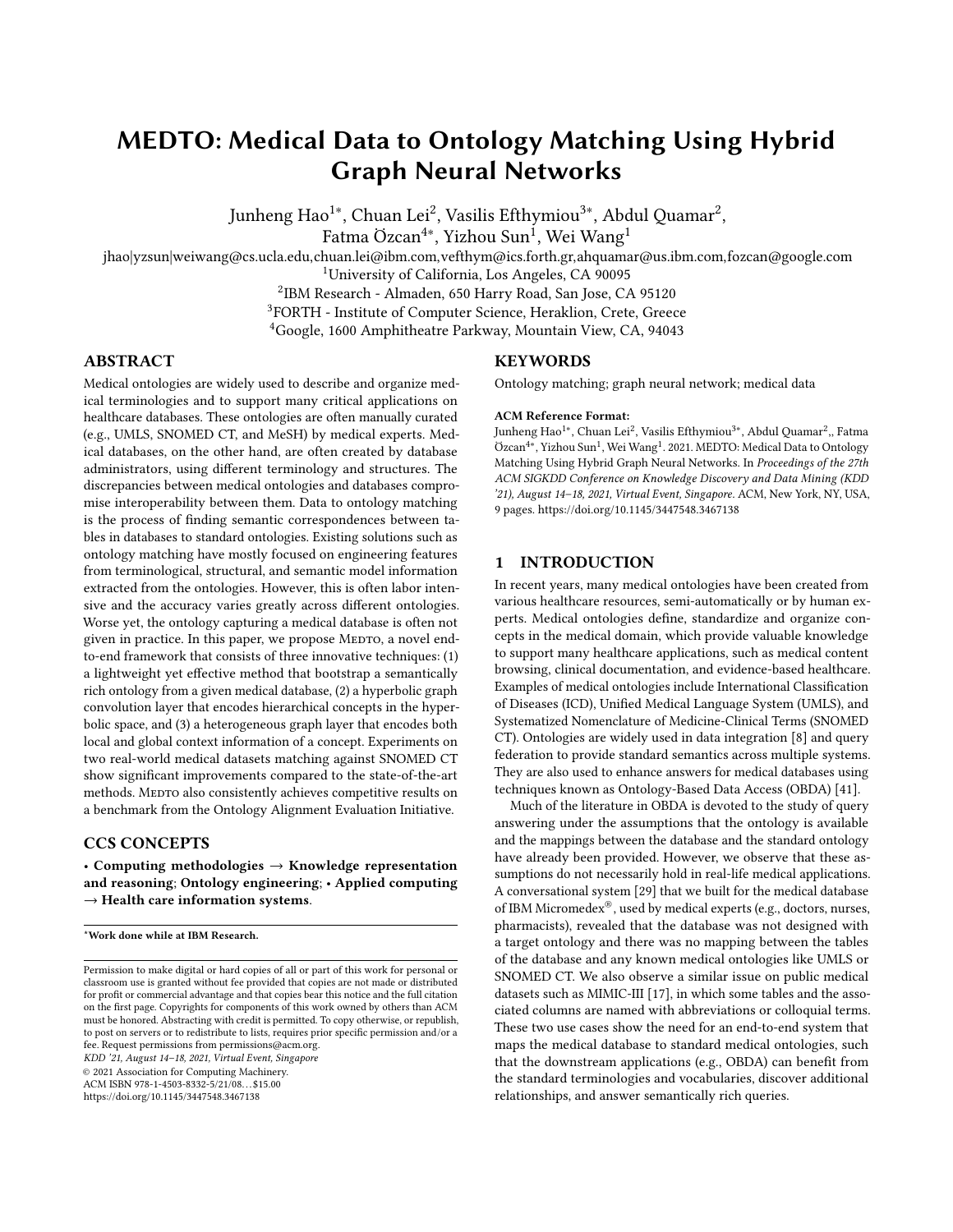link prediction and community detection. A generalized framework [\[1\]](#page-8-16) of GNNs consists of a graph encoder and a graph decoder, taking as input an adjacency matrix  $A$ , as well as optional node and edge features  $X = \{X_N, X_F\}$ . A typical graph encoder parameterized by enc combines the graph structure with node and edge features to produce node embedding matrix as:

$$
Z = \text{ENC}(A, X, \text{enc}). \tag{1}
$$

The graph encoder uses the graph structure to propagate and aggregate information across nodes and learn embeddings that encode local structural information. A graph decoder is often used to compute similarity scores for all node pairs for downstream tasks on node, edge, or graph level.

Depending on the graph properties, a wide variety of GNNs have been developed. Representative examples include a messagepassing neural network R-GCN [\[31\]](#page-8-17) and a metapath-based neural network HAN [\[38\]](#page-8-18) for heterogeneous graphs, non-Euclidean hyperbolic GCN [\[2\]](#page-8-19) for hierarchical graphs, and EvolveGCN [\[27\]](#page-8-20) for dynamic graphs. More details can be found in Section [6.](#page-7-0)

# 2.2 Problem Formulation

Definition 2.1. A medical database  $D$  is represented by a relational schema  $S$  and its instance  $I$ . A schema is a finite collection of relation symbols. Each relation symbol has a specified arity, which intuitively corresponds to column names. An instance  $I$  over  $S$  is a collection of relations whose arities match those of the relation symbols in S.

Definition 2.2. A medical ontology is represented as  $O = (C, \mathcal{R},$  $\mathcal T$ ), where C is the set of concepts, R is the set of relations, and  $\mathcal T$  $= C \times R \times C$  is the set of triplets.

**Problem definition.** Given a medical database  $D$  and a standard medical ontology  $O$ , the **data to ontology matching prob**lem is to find matches  $M$  that map the schema  $S$  of  $D$  to  $O$ , such that  $\{(i, j) \in S \times O \mid i \equiv j\}.$ 

Note that a single standard medical ontology may only partially match with a medical database. In this case, multiple medical ontologies can be used to match against the given database in sequence. In essence, the challenges of matching data to ontology remain due to the semantically poor schema of the medical database and the complex structure of the medical ontology. Hence, we need to design an end-to-end system addressing these challenges.

## 2.3 System Overview

As depicted in Figure [2,](#page-2-0) we propose a framework, MEDTO, which consists of two phases: data to ontology bootstrapping and ontology to ontology matching. Given a medical database, the data to ontology bootstrapping phase first derives an ontology from its schema and data instances. It also bootstraps seed matches between the derived and standard ontologies by labeling highly confident matches and adding them into training data. The ontology to ontology matching phase takes as input the derived ontology, the standard ontology, as well as the seed matches (either provided or bootstrapped). Structures of both ontologies are captured via

graph neural networks (GNNs) for structural representation learning. Moreover, the lexical semantics of the concepts in both ontologies is employed, providing complementary signals for ontology matching.

<span id="page-2-0"></span>

Figure 2: MEDTO system architecture.

# 3 ONTOLOGY BOOTSTRAPPING FROM MEDICAL DATABASE

In this section, we examine the ontology bootstrapping problem. Specifically, we first address the "cold-start problem", i.e., the task of creating an ontology from a medical database. Then, we describe our novel concept augmentation and neighborhood augmentation strategies to enrich the derived ontology.

## 3.1 Ontology Creation

To infer an ontology (i.e., concepts and their relationships relevant to the domain) from a relational database, we leverage a variety of information from both database schema and data instances.

Concepts and properties. We map each table in a medical database to a concept, and represent columns in each table as data properties of that concept. Note that not all columns are selected, as they may not be semantically meaningful. Specifically, primary and foreign keys are not included, because they are designed for uniquely identifying each row in the table. Moreover, columns of non-string types (e.g., numeric, date, etc.) are not chosen either, since most standard medical ontologies only contain concepts expressed in strings.

Relation inference. Relation inference is non-trivial as it depends on the primary key and foreign key interactions, and quite often these keys are not specified in the databases, especially when the database is created from raw medical literature. Therefore, we follow the approach suggested in [\[24\]](#page-8-13), which enables the inference of functional relations as well as concept hierarchies (i.e., isA relation).

In brief, we first identify primary and foreign keys by leveraging data statistics, such as distinct values. If the number of distinct values of the column and the total row count in the table are identical, we assert a primary key constraint. Similarly, for foreign keys,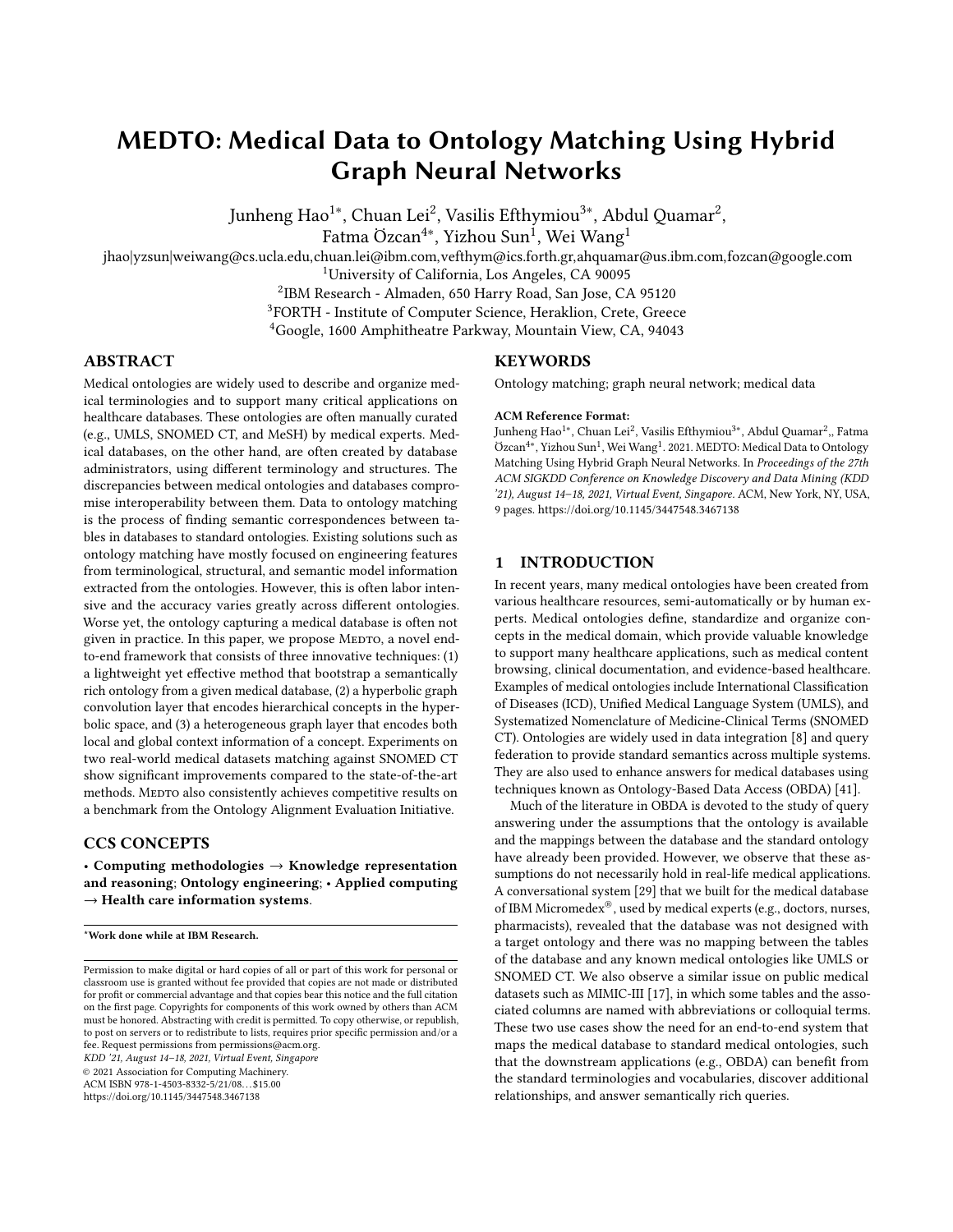we check if the rows in the join of the two tables based on the selected columns are equal to the total rows of the referring table. Furthermore, we consider tables with exactly two columns, both acting as foreign keys to different tables in the schema, as intermediate tables. For every non-intermediate table *, we generate* a functional relation that connects the concept  $C$  generated from  $R$  to another concept  $C'$  generated from the table  $R'$ , if one of  $R$ 's column is a foreign key referring to  $R'$ . If there is a table  $R_1$  with a single column, which is a foreign key referring to a table  $R_2$ , we consider the concept  $C_1$  generated from  $R_1$  as subsumed by the concept  $C_2$  generated from  $R_2$ . In this case, we assert an isA relation between two concepts corresponding to these two tables. Finally, the resulting ontology  $O_1$  is stored in OWL2 format.

# 3.2 Ontology Enrichment

Although the created ontologies capture schema-level details of the underlying data, they are far less semantically rich than the standard ontologies created by experts. To alleviate this issue, we introduce two effective augmentation heuristics to enrich the derived ontology  $O_1$  from the medical database.

<span id="page-3-1"></span>

Figure 3: MEDTO ontology enrichment.

**Concept augmentation.** For each distinct value<sup>[1](#page-3-0)</sup> in relational tables, we add an instance-level concept in  $O_1$ , and connect these new concepts to the existing schema-level ones via a new relationship "instance of". The advantages of concept augmentation are twofold. First, it greatly enriches  $O_1$  with the available information from the relational database. Second, it enables us to bootstrap the seed concept matching between two ontologies using exact string matching algorithms. Other approximate string matching algorithms (e.g., edit distance based or embeddings based) or ML-based methods [\[33\]](#page-8-21) can be plugged in as well, depending on the accuracy requirement. Neighborhood augmentation. We also add edges among the prealigned seed concepts in  $O_1$ . Specifically, if two concepts *i* and *j* of  $O_2$  have an edge, while their counterparts  $i'$  and  $j'$  in  $\tilde{O}_1$  do not, we add an edge between  $i'$  and  $j'$ . The goal is to fill the semantic gap between  $O_1$  and  $O_2$  by adding the missing structural information.

With the augmented ontology, MEDTO can effectively learn the ontology representation and align it with  $O_2$ . To match a schemalevel concept in  $O_1$  with the ones in  $O_2$ , we employ graph pooling

to aggregate the embeddings of instance-level concepts that belong to the schema-level concept. Different graph pooling methods [\[14,](#page-8-8) [42\]](#page-8-22) have been investigated for different scenarios. We find that the element-wise mean-pooling is sufficient to capture different information across the neighborhood set.

Finally, we feed both the enriched  $O_1$  and a standard ontology  $\mathcal{O}_2$  into our novel graph neural network MEDTO to find the matches between them (Figure [3\)](#page-3-1).

# 4 ONTOLOGY MATCHING

#### 4.1 Input Embeddings of Medical Concepts

The concept names in a medical ontology consist of sequences of words. One can leverage deep learning based embedding methods such as BERT [\[6\]](#page-8-23) or ELMo [\[28\]](#page-8-24) to produce  $d_{in}$ -dimensional word embeddings for each concept. In this work, as the starting point, we choose BioBERT, a high-quality medical language model pretrained on PubMed abstracts and clinical notes (MIMIC-III) [\[22\]](#page-8-25). The resulting input embedding is used as the initial state  $(h^{0,E})$ of each concept, where  $E$  indicates that the embeddings are in a Euclidean space.

# 4.2 Hyperbolic Graph Convolution Layer

Conventional GNNs embed nodes into Euclidean space, which has been shown to incur a large distortion with hierarchical structures [\[26\]](#page-8-26). Hence, we use a hyperbolic embedding space, since it is amenable for learning concept hierarchies. Compared to Euclidean spaces, hyperbolic spaces better capture the hierarchical characteristic of ontologies. In this paper, we adopt a specific model, hyperbolic graph convolutional neural network (HGCN) [\[2\]](#page-8-19), which leverages both the expressiveness of GNNs and hyperbolic geometry to learn node representations for graphs with hierarchical structures.

Hyperbolic graph convolution layer first establishes mapping between tangent (Euclidean) and hyperbolic spaces by exponential and logarithmic maps. We use the exponential map to project the node embeddings from a Euclidean space to a hyperbolic space, and logarithmic map reverses the map back to the Euclidean space. Hence, the initial embedding  $h_i^{0,E}$  of node *i* to  $h_i^{0,H}$  is:

$$
\mathsf{h}_i^{0,H} = \exp_0^K \ 0, \mathsf{h}_i^{0,E} \quad , \tag{2}
$$

where K determines the constant negative curvature  $-1/K$  ( $K > 0$ ) and o denotes the origin in the hyperbolic space. For hyperbolic feature transformation from one layer to the next layer, we follow the definition below:

$$
\mathsf{h}_{i}^{l,H} = \mathsf{W}^{l} \otimes^{K_{l-1}} \mathsf{h}_{i}^{l-1,H} \oplus^{K_{l-1}} \mathsf{b}^{l} \tag{3}
$$

where ⊗ and ⊕ are hyperboloid matrix multiplication and addition, respectively, as defined in [\[2\]](#page-8-19).

Similar to GCN, our hyperbolic graph convolution layer aggregates features from a node's local neighborhood. Since there is no notion of vector space structure in a hyperbolic space, we have to map embeddings to the tangent space, perform the aggregation in the tangent space, and then map the aggregated embeddings back to the hyperbolic space. Furthermore, we utilize an attention mechanism to learn the importance of each neighboring node and aggregate neighbors' embeddings according to their importance. Given hyperbolic embeddings  $(h_i^H, h_j^H)$ , the attention weight  $w_{ij}$ 

<span id="page-3-0"></span><sup>&</sup>lt;sup>1</sup>If the number of distinct values is greater than a threshold, we use sampling to avoid exploding the ontology. We omit the details due to space constraints.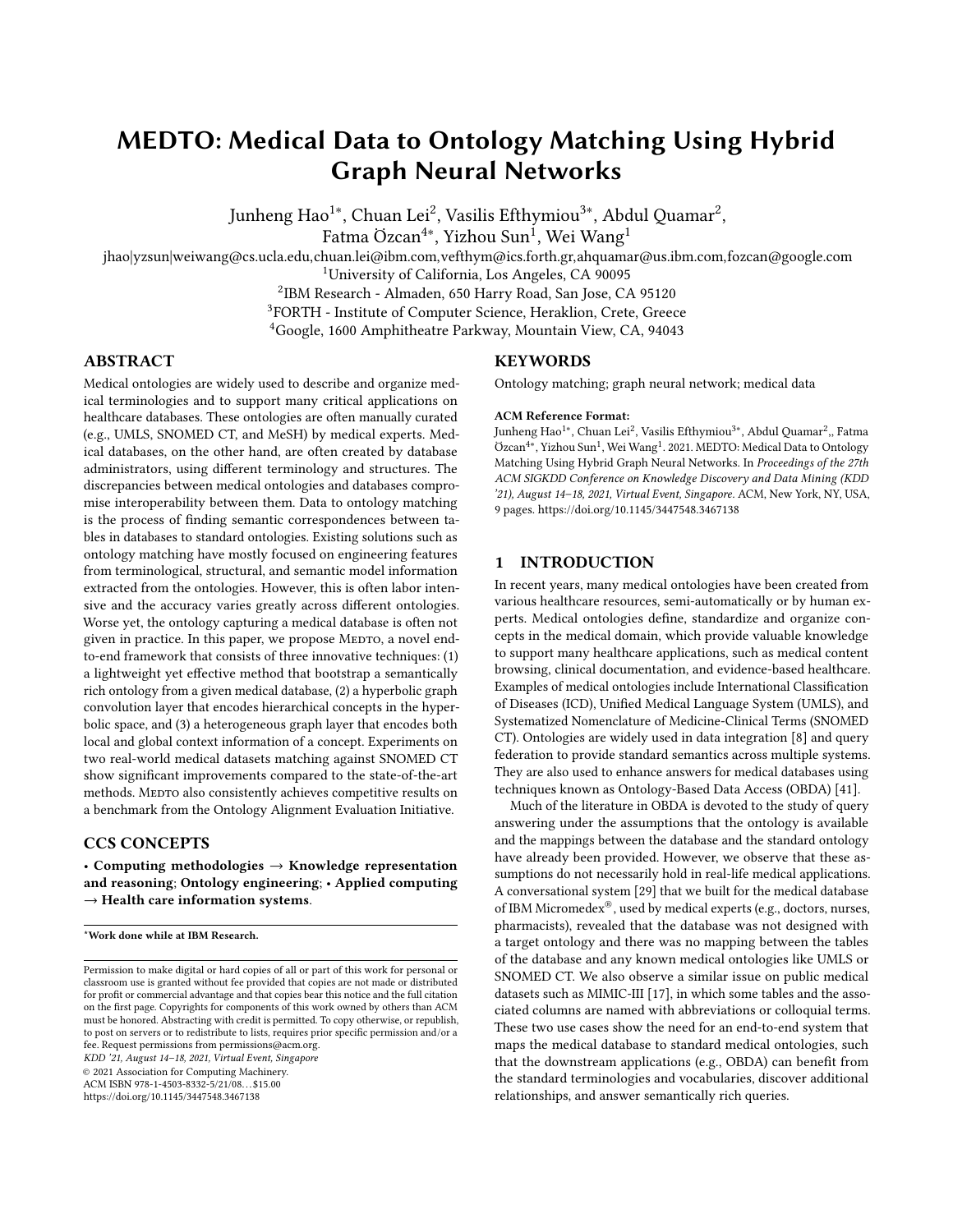

Figure 4: Details of MEDTO matching module. Both  $O_1$  and  $O_2$  are split into the hierarchical and non-hierarchical facets, which are fed into a hyperbolic graph layer and a heterogeneous graph layer respectively. The matching module minimizes the contrastive matching loss to let the representations of matching concepts have a very small distance while those of unmatched concepts have a large distance.

is:

$$
w_{ij} = \text{SoftMAX} \quad \text{MLP} \quad \log_0^K \quad h_i^H \quad || \quad \log_0^K \quad h_j^H \quad , \tag{4}
$$

and the hyperbolic attention-based aggregation is:

$$
\text{AGG}^K(\mathbf{h}^H)_i = \exp_{\mathbf{h}^H_i}^K \bullet \text{Var}_{\mathbf{u}^j \in N(i)}^K \text{w}_{ij} \log_{\mathbf{h}^H_i}^K \mathbf{h}^H_j \bullet,
$$
 (5)

where || is a concatenation operation, and  $\mathcal{N}(i) = \{j : (i, j) \in \mathcal{R}_{isA}\}\$ denotes a set of parents of concepts  $i \in C$ . Finally, we use a nonlinear activation function to learn non-linear transformations by first applying the Euclidean non-linear activation in the tangent space and then mapping back to the hyperbolic space:

$$
\sigma^{\oplus^{K_{I-1},K_I}}(\textbf{h}^H) = \exp^{{K_I}}_{o} \ \sigma \ \log_{o^{K_{I-1}}} \ \textbf{h}^H \qquad . \eqno{(6)}
$$

The *l*-th layer of a hyperbolic graph convolution layer is:

$$
h_i^{l,H} = \sigma^{\oplus^{K_{l-1},K_l}} \quad \text{AGG}^{K_{l-1}} \quad h^{l,H} \quad , \tag{7}
$$

where  $-\frac{1}{K_{l-1}}$  and  $-\frac{1}{K_l}$  are the hyperbolic curvatures at the  $(l-1)$ -th and *l*-th layer, respectively. The hyperbolic embeddings at the last layer can be used to predict the concept similarity. We use the following sigmoid function [\[2\]](#page-8-19) to compute probability scores for edges:

<span id="page-4-2"></span>
$$
\mathcal{L}^{\mathcal{H}} = p((c_i, c_j) \in C) = \exp \frac{1}{t} d^K \left( h_i^H, h_j^H \right)^2 - r + 1 \Big|_{t=0}^{t=1} \tag{8}
$$

where  $d^{K}(\cdot, \cdot)$  is the hyperbolic distance and r and t are hyperparameters.

#### 4.3 Heterogeneous Graph Module

To capture the non-hierarchical structure in an ontology, conventional GNNs such as R-GCN [\[31\]](#page-8-17) can be applied, as it models multirelational graphs. Specifically, R-GCN distinguishes different neighbors with relation-specific weight matrices. In the *l*-th convolutional layer, each representation vector is updated by accumulating the vectors of neighboring nodes through a normalized sum. Formally, the *l*-th layer of R-GCN is:

<span id="page-4-1"></span>
$$
h_i^{l,E} = \sigma \mathbf{W}_0^l h_i^{l-1,E} + \sum_{r \in \mathcal{R}} \sum_{j \in \mathcal{N}_i^r} \frac{1}{c_{i,r}} W_r^l h_j^{l-1,E} \mathbf{W}_0^2, \tag{9}
$$

where  $W_0^l$  is the weight matrix for the node itself and  $W_r^l$  is used specifically for the neighbors having relation r, i.e.,  $N_i^r, R$  is the relation set and  $c_{i,r}$  is for normalization.

One limitation of this approach is that it focuses only on the local context of a concept and ignores the position of the concept within the broader context of the entire ontology. As described in Section [1,](#page-0-0) the top-level concepts in an ontology often provide additional semantic information which can influence how the final embeddings are aggregated. In Figure [5,](#page-4-0) the local context of "renal failure" includes two concepts, "measurements of renal function" and "kidney structure", connecting to "renal failure". In addition to the local context, we also incorporate the "global" context described by the top-level concepts, such as "clinical finding", "body structure", and "procedure".

<span id="page-4-0"></span>

Figure 5: Local and global contexts of "**renal** failure".

The key idea is to incorporate a set of "global" contexts and enrich each node's feature with its corresponding global embeddings. We denote a node *i*'s global embedding at *l*-th layer as  $\mathbf{g}_i^{l,E}$ . We replace the node feature  ${\sf h}^{l-1,E}_i$  with its enriched version  ${\sf h}^{l-1,E}_i||{\sf g}^{l-1,E}_i$  and similarly replace each node feature of its neighbors  $h_i^{l-1,E}$  with concatenated  $h_j^{l-1,E} || g_j^{l-1,E}$  in Eq. [9.](#page-4-1) Note that in a medical ontology, a concept may belong to multiple top-level concepts. In this case,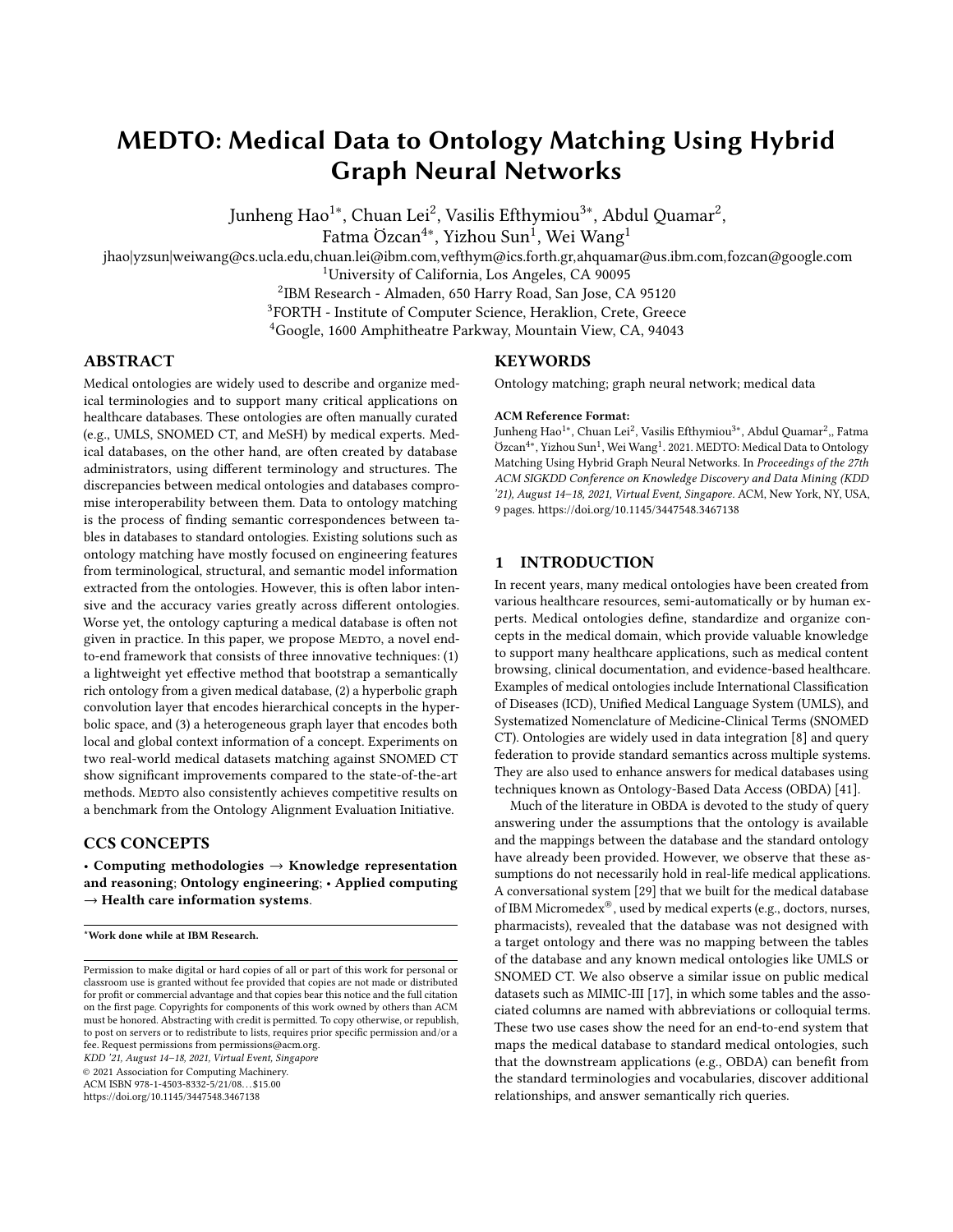we take an element wise mean of all global embeddings to fully capture the global context. Such combined embeddings help us to learn better representations from more neighborhood information.

Following the convention, we optimize for cross-entropy loss to push the model to score observable edges higher than the negative ones:

$$
\mathcal{L}^{\mathcal{E}} = \sum_{r \in \mathcal{R}} \sum_{i,j \in C} w_{ij}^{r} \log \frac{\exp \left( \mathbf{h}_{i}^{E} \right)^{T} A_{r} \mathbf{h}_{j}^{E}}{i' \in C \exp \left( \mathbf{h}_{i'}^{E} \right)^{T} A_{r} \mathbf{h}_{j}^{E}}, \quad (10)
$$

where  $w_{ij}^r = 1(i, j \in \mathcal{R}_r)$  and negative samples are generated by replacing  $\vec{i}$  with a random node  $\vec{i}'$ .

# 4.4 Matching Module

Based on the learned concept representations  $\mathsf{h}^H$  and  $\mathsf{h}^E$  from the hyperbolic graph convolution and the heterogeneous graph layers, we merge the two through concatenation to unify the representation of a concept **h**. Then, the matching module  $M(\cdot)$  takes pairs of concept embeddings from  $O_1$  and  $O_2$  and outputs the prediction score. We use the straightforward multi-layer perceptron (MLP) with one hidden layer, defined as follows:

$$
M \t h_i^U, h_i^U = \sigma \t W_2 \tcdot \gamma \t W_1 \t h_i^U ||h_i^U + h_1 + h_2 , \t (11)
$$

where  $W_1$ ,  $W_2$ ,  $b_1$ ,  $b_2$  are parameters,  $\sigma$  is the sigmoid function, and  $\gamma$  is the LeakyReLU activation function. One could also use a multi-head attention-based transformer encoder [\[36\]](#page-8-27) module to replace the MLP.

We minimize the contrastive matching loss to let the embeddings of known matched concepts (positive) have a small distance while the unmatched (negative) pairs have a relatively large distance:

<span id="page-5-3"></span>
$$
\mathcal{L}^M = \bigotimes_{(i,j)\in\mathcal{M}^+} M(h_i, h_j) + \bigotimes_{(i',j')\in\mathcal{M}^-} \omega \ \lambda - M \ h_{i'}, h_{j'} \quad , \qquad (12)
$$

where  $\mathcal{M}^+$  denotes the seed matches between  $O_1$  and  $O_2$ ,  $\mathcal{M}^$ denotes a set of negative samples,  $\lambda$  is the margin value,  $\omega$  is a balance hyper-parameter, and  $[\cdot]_+ = \max(0, \cdot)$ .

## 4.5 Training

Combining the hyperbolic graph convolution and heterogeneous graph models together with the matching module, MEDTO minimizes the final joint loss function:

<span id="page-5-4"></span>
$$
\mathcal{L} = \mathcal{L}^M + \alpha_1 \cdot \mathcal{L}_{O_1}^H + \mathcal{L}_{O_2}^H + \alpha_2 \cdot \mathcal{L}_{O_1}^{\mathcal{E}} + \mathcal{L}_{O_2}^{\mathcal{E}} , \quad (13)
$$

where  $\mathcal{L}^M$  is the matching loss,  $\mathcal{L}^H_{O_1}(\mathcal{L}^H_{O_2})$  and  $\mathcal{L}^E_{O_1}(\mathcal{L}^E_{O_2})$  represent the losses of the hyperbolic graph convolution and heterogeneous graph models, respectively, and both  $\alpha_1$  and  $\alpha_2$  are positive hyper-parameters to control the trade-off among three loss components. We optimize all models with Adam [\[18\]](#page-8-28) optimizer.

# 5 EXPERIMENTS

#### 5.1 Datasets

We use the following datasets from the medical domain to evaluate the performance of our MEDTO framework.

MIMIC-III is a large database consisting of anonymized healthrelated data of over forty thousand patients who stayed in critical

care units [\[17\]](#page-8-4). It contains 21 tables in 3 aspects including patient tracking, ICU data, and hospital data.

 $\bold{MDX}$  is a medical database of IBM Micromedex $^{\circledR\,2}$  that contains information in 59 tables about drugs, adverse effects, indications, findings, etc. It is manually curated from medical literature by editorial staff.

For standard medical ontologies, we choose the ones provided in the large BioMed track of OAEI<sup>[3](#page-5-1)</sup>. This track consists of finding alignments between three ontologies: the Foundational Model of Anatomy Ontology (FMA), SNOMED CT, and the National Cancer Institute Thesaurus (NCI).

FMA is an ontology for biomedical informatics that represents a coherent body of explicit declarative knowledge about human anatomy [\[30\]](#page-8-29). It consists of 78,984 concepts and 78,985 isA relations.

NCI provides reference terminologies for clinical care, translational and basis research, and public information and administrative activities [\[5\]](#page-8-30), which consists of 56,907 concepts and 85,332 relations of 80 different types. 59,794 of them are isA relations.

SNOMED CT is a systematically organized collection of medical terms providing codes, terms, synonyms and definitions used in clinical reporting [\[10\]](#page-8-31). It contains 76,730 concepts and 109,896 relations, of which 105,563 are isA.

Seed matches are provided by OAEI and we split them into train, validation and test set as the positive samples. The negative samples are uniformly sampled by modifying one of the concepts in the positive sample pairs.

#### 5.2 Compared Methods

To evaluate both phases of MEDTO, we compare our approach against a variety of methods in different categories. For MEDTO ontology bootstrapping phase, we choose the method introduced in ATHENA [\[15,](#page-8-32) [24\]](#page-8-13) as the baseline, which only utilizes the schema information from a given database. For MEDTO ontology matching phase, the baselines range from rule-based methods to recent embedding-based entity alignment models. Specifically, LogMap uses logic-based reasoning over the extracted features and casts the ontology matching as a satisfiability problem. AML performs ontology matching based on heuristic methods that rely on aggregation functions. We select MTransE [\[4\]](#page-8-33), GCN-Align [\[39\]](#page-8-11), and RDGCN [\[40\]](#page-8-12)<sup>[4](#page-5-2)</sup> from recent embedding-based entity alignment methods. For ablation study, we develop three variants of MEDTO, i.e., MEDTO (w/o HYP) that does not capture the hierarchical information in the hyperbolic space, MEDTO (w/o HET) that does not pay attention to both local and global position information, and the full model MEDTO.

#### 5.3 Implementation Details

The following hyper-parameters are used in the experiments. Each training took 1000 epochs with a learning rate of 0.01. The embedding dimension  $d$  is set to 128 for all the comparative methods (if applicable). The dimension of input embeddings is  $d_{\text{in}} = 768$ . By default, we stack 2 hyperbolic graph convolution and 2 heterogeneous graph layers in MEDTO. For the hyperbolic graph convolution

<span id="page-5-0"></span> $^2$ https://www.ibm.com/products/micromedex-with-watson

<span id="page-5-1"></span><sup>3</sup><http://www.cs.ox.ac.uk/isg/projects/SEALS/oaei/2020/>

<span id="page-5-2"></span><sup>4</sup>OpenEA library: https://github.com/nju-websoft/OpenEA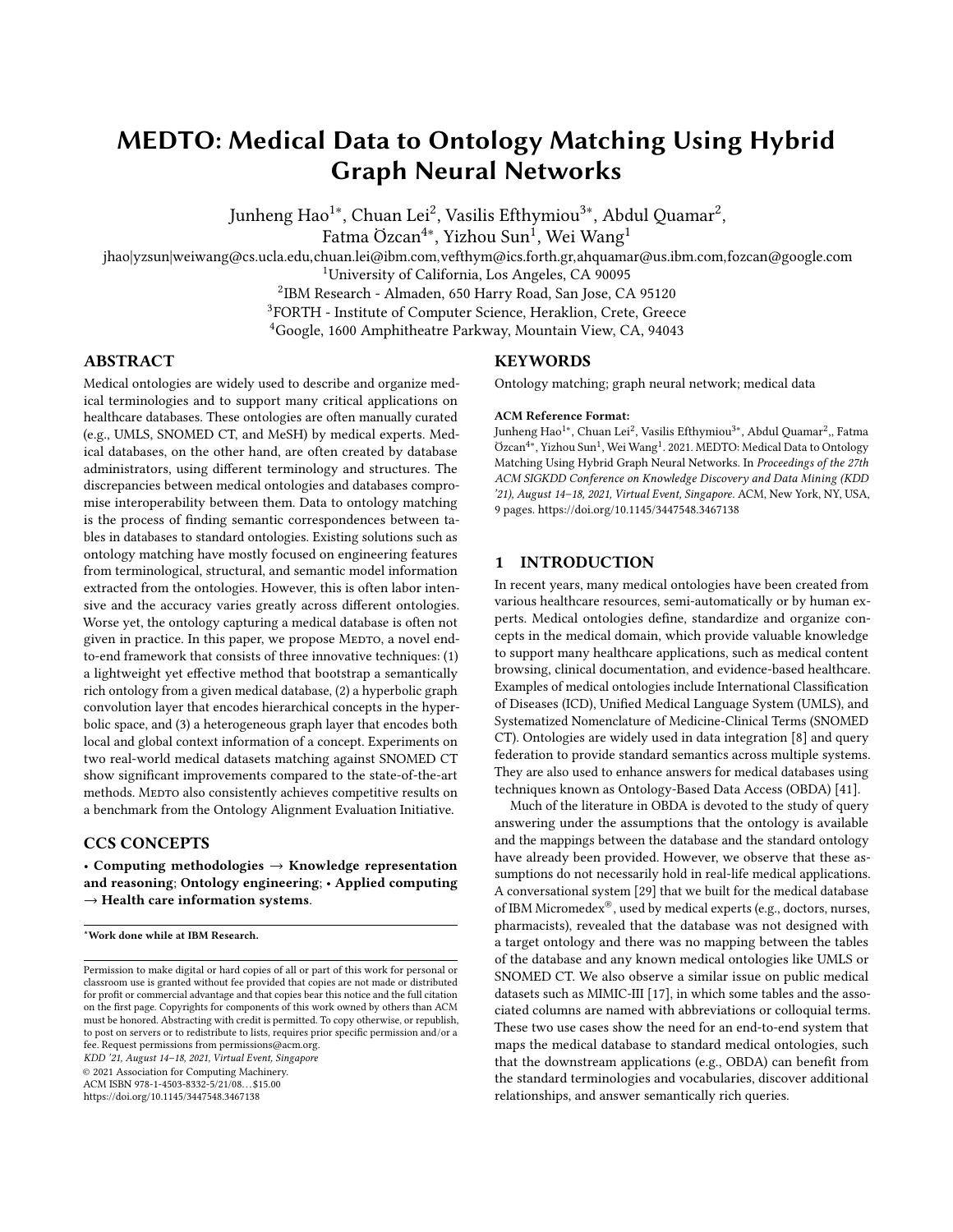decoder, we set  $r = 2.0$ ,  $t = 1.0$  (Eq. [8\)](#page-4-2) and apply trainable curvature. In the matching module, we set  $\lambda = 1.0$  and  $\omega = 0.1$  (Eq. [12\)](#page-5-3). We set both balance hyper-parameters  $\alpha_1$  and  $\alpha_2$  to 1.0 in Eq. [13.](#page-5-4) We sample 10 negative samples for each pre-aligned concept pair. All the learnable parameters are initialized by the Xavier initialization [\[13\]](#page-8-34). Following the convention of OAEI and entity alignment, we report the precision, recall and F1 score to assess ontology matching performance. In addition, we also report MRR (mean reciprocal rank), higher scores indicating better performance.

## 5.4 Experimental Results

Main results. We evaluate MEDTO on both MIMIC-III and MDX. For MIMIC-III, our domain experts identified 15 matching concepts in SNOMED, among 21 tables. For MDX, 19 out of 59 tables have their matches identified in SNOMED as well. Hence, we use these identified matches as our ground truth. Following convention, we report Hits@10 and Hits@30 results to assess ontology matching performance.

| Dataset | $MIMIC-III \Leftrightarrow$ SNOMED |            | $MDX \Leftrightarrow$ SNOMED |            |  |  |
|---------|------------------------------------|------------|------------------------------|------------|--|--|
| Metric  | Hits@10                            | Hits@30    | Hits@10                      | Hits@30    |  |  |
| AML     | 0.06(1/15)                         | 0.13(2/15) | 0.16(3/19)                   | 0.26(5/19) |  |  |
| LogMap  | 0.20(3/15)                         | 0.20(3/15) | 0.21(4/19)                   | 0.37(7/19) |  |  |

MTransE  $\begin{array}{|l} 0.00 \ (0/15) \ 0.00 \ (0/15) \end{array}$  0.05 (1/19) 0.05 (1/19) GCN-Align |  $0.20$  (3/15)  $0.33$  (5/15)  $\vert 0.32$  (6/19)  $0.42$  (1/19) RDGCN 0.27 (4/15) 0.40 (6/15) 0.32 (6/19) 0.58 (11/19) MEDTO |  $0.47 (7/15)$   $0.60 (9/15)$  |  $0.42 (8/19)$   $0.79 (15/19)$ 

Table 1: Matching MIMIC-III and MDX to SNOMED CT.

As shown in Table 1, MEDTO substantially outperforms all baseline methods. For MIMIC-III, the best performing baseline, RDGCN, can only find 4 matches when Hits@10, whereas MEDTO finds 7 out 15 matches. The primary reason is the concept and neighborhood augmentation we used to enhance the initially derived MIMIC-III ontology. With instance-level concepts and hierarchical relationships among them, MEDTO can leverage semantic information to learn much better representations of the MIMIC-III ontology, resulting in the performance gain. We observe similar results on the MDX dataset; our MEDTO finds 8 out of 19 matches compared to 3-6 matches found by other baselines, achieving superior performance. Tables 2 and 3 show a subset of successful and failed cases from both datasets.

Table 2: MIMIC-III-to-SNOMED result analysis (Hits@30).

| MIMIC-III Tables | AML | LogMap | <b>RDGCN</b> | <b>MEDTO</b> |
|------------------|-----|--------|--------------|--------------|
| patient          |     |        |              |              |
| prescriptions    |     |        |              |              |
| caregivers       |     |        | x            |              |
| services         |     |        |              |              |
| outputevents     |     |        |              |              |
| icustays         |     |        | x            |              |
| chartevents      |     |        |              |              |
| labevents        |     |        |              |              |

We observe two mistake patterns from MEDTO. The first type of mistakes is caused by ambiguous semantic information. For example, most instance-level concepts of "chartevent" are described by

different timestamps, which do not contribute to the bootstrapping of seed matches between MIMIC-III and SNOMED at all. In fact, MEDTO solely relies on the input embedding of "chartevent", which is not sufficient to locate the correct match in SNOMED.

Table 3: MDX-to-SNOMED result analysis (Hits@30).

| <b>MDX</b> Tables   | AML | LogMap | <b>RDGCN</b> | <b>MEDTO</b> |
|---------------------|-----|--------|--------------|--------------|
| AdverseEffect       |     |        |              |              |
| Dosage              |     |        |              |              |
| DrugFoodInteraction | X   |        |              |              |
| ContraIndication    |     |        |              |              |
| DoseAdjustment      |     |        |              |              |
| DrugRoute           |     |        |              |              |

The second type of mistakes still results from instance-level concepts augmented in MIMIC-III. Even though MEDTO is able to leverage these concepts to bootstrap the seed matches, these matches do not locate around the provided ground truth matches in SNOMED. For example, most instance-level concepts of "labevents" find their matches (e.g., "hemoglobin" and "cholesterol") under "substance" concept in SNOMED. Consequently, MEDTO learns an incorrect representation of "labevents" and mistakenly matches it to concepts similar to "substance" rather than "laboratory test". We observe similar trends from MDX case as well.

Ontology bootstrapping results. As mentioned earlier, we evaluate the effectiveness of MEDTO ontology bootstrapping methods against a baseline method introduced in ATHENA [\[15,](#page-8-32) [24\]](#page-8-13), which only utilizes the schema information of a database to create an ontology. MEDTO matches 7 out 15, and 8 out of 19 over MIMIC-III and MDX, respectively, when Hits@10, while ATHENA is only able to match 3 out of 15, and 4 out of 19. Even when Hits@30, ATHENA (4 out of 15 on MIMIC-III, and 5 out of 19 on MDX) is still beaten by MEDTO substantially. The results clearly show that MEDTO ontology bootstrapping method is able to produce a semantically richer ontology compared to the one generated by ATHENA. Having the enriched ontology, the ontology matching phase can subsequently identify more matching concepts from the standard ontology.

Ontology matching results. Table 4 summarizes the results of ontology matching on three pairs of ontologies from OAEI datasets. We observe that MEDTO outperforms the three representative baselines from entity alignment, with an average improvement of 4.7% on F1 score and 2.5% on MRR. This indicates that entity alignment methods, designated for general-purpose knowledge bases (e.g., Wikidata and DBpedia), are insufficient for matching domainspecific medical ontologies with hierarchical structures. MEDTO explicitly distinguishes and models the hierarchical information, from other local and global structural features, leading to better results on medical ontology matching.

Compared to the extensively developed rule-based approaches (AML/LogMap), MEDTO achieves competitive results across all three datasets. In particular, MEDTO outperforms both AML and LogMap on NCI-SNOMED matching. It is the most challenging one among the three matching tasks, since both NCI and SNOMED are more complex than FMA. We also find that AML and LogMap heavily rely on lexical features from a suite of sophisticated matchers. Deriving such features for a given ontology can be time-consuming. However, these features in one ontology often do not transfer in others. As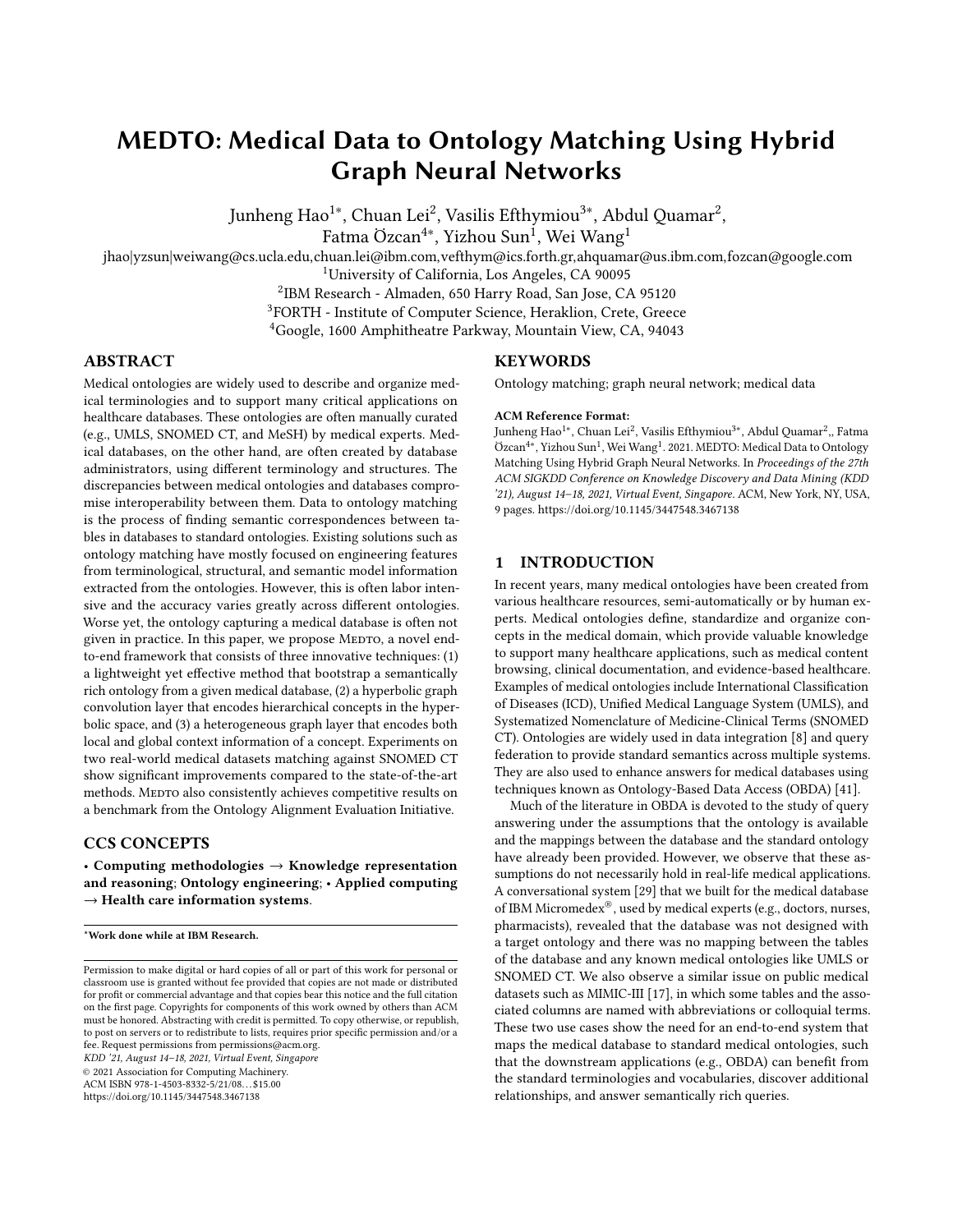| Datasets        |       | <b>FMA-NCI</b> |                |                          | <b>FMA-SNOMED</b> |       |       |            | NCI-SNOMED |       |                |            |
|-----------------|-------|----------------|----------------|--------------------------|-------------------|-------|-------|------------|------------|-------|----------------|------------|
| Metrics         | P     | R              | F <sub>1</sub> | <b>MRR</b>               | P                 | R     | F1    | <b>MRR</b> | P          | R     | F <sub>1</sub> | <b>MRR</b> |
| AML             | 0.942 | 0.899          | 0.920          | $\overline{\phantom{0}}$ | 0.902             | 0.729 | 0.806 | -          | 0.890      | 0.744 | 0.810          |            |
| LogMap          | 0.916 | 0.895          | 0.905          | $\qquad \qquad -$        | 0.791             | 0.850 | 0.819 | -          | 0.897      | 0.732 | 0.805          |            |
| <b>MTransE</b>  | 0.627 | 0.640          | 0.633          | 0.416                    | 0.505             | 0.475 | 0.490 | 0.372      | 0.254      | 0.378 | 0.304          | 0.349      |
| GCN-Align       | 0.813 | 0.783          | 0.798          | 0.561                    | 0.763             | 0.729 | 0.746 | 0.526      | 0.745      | 0.775 | 0.760          | 0.467      |
| <b>RDGCN</b>    | 0.855 | 0.843          | 0.849          | 0.761                    | 0.824             | 0.752 | 0.786 | 0.683      | 0.852      | 0.782 | 0.816          | 0.679      |
| <b>MEDTO</b>    | 0.944 | 0.874          | 0.908          | 0.783                    | 0.871             | 0.762 | 0.813 | 0.690      | 0.901      | 0.802 | 0.849          | 0.704      |
| MEDTO (w/o HYP) | 0.867 | 0.775          | 0.818          | 0.724                    | 0.787             | 0.653 | 0.714 | 0.540      | 0.835      | 0.759 | 0.795          | 0.595      |
| MEDTO (W/O HET) | 0.927 | 0.851          | 0.887          | 0.763                    | 0.863             | 0.747 | 0.801 | 0.676      | 0.881      | 0.807 | 0.842          | 0.688      |

Table 4: Results of ontology matching on OAEI datasets.

shown in Tables 2 and 3, the accuracy of such approaches varies dramatically depending on the quality of the given ontologies.

Effectiveness of MEDTO heterogeneous graph layer and hyperbolic graph convolution layer. We compare the performance between the proposed MEDTO and its two variations, named MEDTO (w/o HYP) and MEDTO (w/o HET), which only use the heterogeneous graph layers and hyperbolic graph convolution layers, respectively. Results are also shown in Table 2. We observe that full model MEDTO consistently performs the best across three datasets, with an average increase of 2.3% in F-1 score. This is attributed to MEDTO's unified representation, capturing the critical semantic and structural features from multiple facets. It is also interesting to see that MEDTO (w/o HET) outperforms MEDTO (w/o HYP), which indicates that hierarchical information in medical ontologies contains more representative and critical features of ontology matching. Our hyperbolic graph convolution module effectively encodes such information for the matching module.

<span id="page-7-1"></span>

Figure 6: Sensitivity analysis.

Hyper-parameter sensitivity analysis. We first analyze the results of MEDTO with 1 to 4 hyperbolic graph convolution and heterogeneous graph layers on OAEI datasets. In Figure [6a,](#page-7-1) we observe the optimal number of layers is 2 (for FMA-NCI and SNOMED-NCI) or 3 (for FMA-SNOMED). When MEDTO uses more layers, its performance declines. The reason is that MEDTO indirectly captures more global contextual (i.e., top-level concepts) information by message propagation, and such global information would lead to more non-isomorphic neighborhoods.

Furthermore, we also aim to match ontologies with different numbers of seed matches. We use different proportions  $r$  of seed matches in OAEI datasets. As shown in Figure [6b,](#page-7-1) the MEDTO performs substantially better when  $r$  increases from 0.2 to 0.4, but

the performance gain slows down as  $r$  increases from 0.6 to 0.8. This shows that MEDTO does not heavily rely on a large number of high-quality seed matches and provides decent matching results when the seed matches are limited.

# <span id="page-7-0"></span>6 RELATED WORK

Graph representation learning. Recently graph representation learning [\[14,](#page-8-8) [31\]](#page-8-17) has been intensively studied and shown effective for various tasks including node classification, link prediction and graph matching. Recently, graph attention networks [\[12,](#page-8-35) [37,](#page-8-36) [38\]](#page-8-18) have been introduced and allow each node to attend over its various neighbors and uses attention to assign different weights to different nodes in a neighborhood. We refer interested readers to [\[9\]](#page-8-37) for more details. Recently, there has been research in extending GNNs to learn non-Euclidean embeddings and thus benefit from both the expressiveness of GNNs and hyperbolic geometry. Poincaré embeddings [\[26\]](#page-8-26) learn embeddings of hierarchical graphs such as lexical databases (e.g., WordNet) in the Poincare space. HGCN [\[2\]](#page-8-19) and HGNN [\[25\]](#page-8-38) apply graph convolutions in hyperbolic space by leveraging the Euclidean tangent space, which provides a first-order approximation of the hyperbolic manifold at a point. These methods lead to improvements on graphs with hierarchical structures.

Ontology matching. Traditional feature-based approaches have been investigated for ontology matching, including terminologicalbased features, structural-based features and employing external semantic thesauruses for discovering semantically similar entities. LogMap [\[16\]](#page-8-6) relies on lexical and structural indexes to enhance its scalability. AML [\[11\]](#page-8-5) also employs various sophisticated features and domain-specific thesauri to perform ontology matching. Feature-based methods mainly employ crafting features to achieve specific tasks. Unfortunately, these hand-crafted features will be limited for a given task and face the bottleneck of improvement.

Representation learning has limited impact on ontology matching. DeepAlignment [\[20\]](#page-8-7) is an unsupervised ontology matching system, which refines pre-trained word embeddings with the descriptions of entities, including synonyms and antonyms extracted from general lexical resources and information captured implicitly in ontologies. Similar to DeepAlignment, a framework is introduced for medical ontology alignment [\[21\]](#page-8-39), based on terminological embeddings. The retrofitted word vectors are learned from the domain knowledge encoded in ontologies and semantic lexicons.

Entity alignment. Similar to ontology matching, entity alignment seeks to find entities in different knowledge graphs (KGs) that